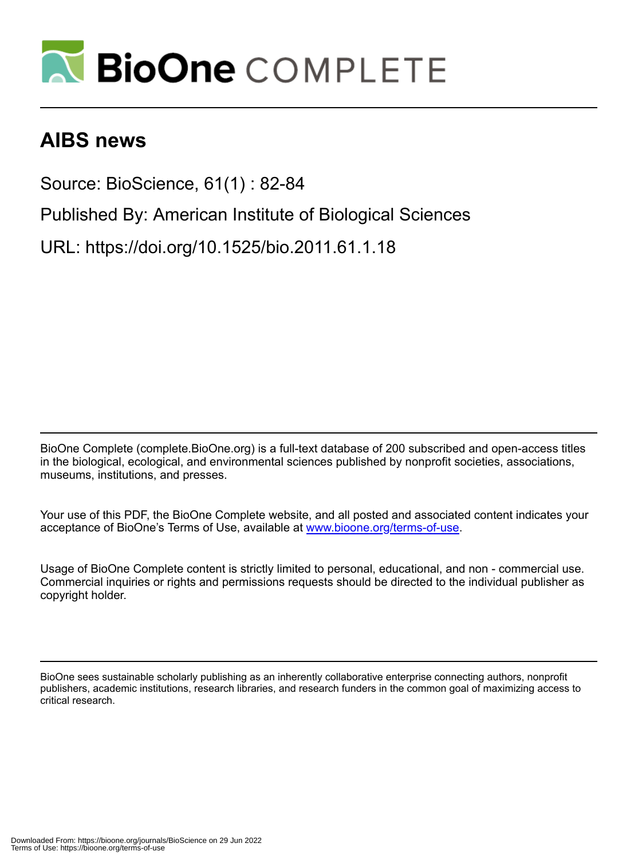

# **AIBS news**

Source: BioScience, 61(1) : 82-84

Published By: American Institute of Biological Sciences

URL: https://doi.org/10.1525/bio.2011.61.1.18

BioOne Complete (complete.BioOne.org) is a full-text database of 200 subscribed and open-access titles in the biological, ecological, and environmental sciences published by nonprofit societies, associations, museums, institutions, and presses.

Your use of this PDF, the BioOne Complete website, and all posted and associated content indicates your acceptance of BioOne's Terms of Use, available at www.bioone.org/terms-of-use.

Usage of BioOne Complete content is strictly limited to personal, educational, and non - commercial use. Commercial inquiries or rights and permissions requests should be directed to the individual publisher as copyright holder.

BioOne sees sustainable scholarly publishing as an inherently collaborative enterprise connecting authors, nonprofit publishers, academic institutions, research libraries, and research funders in the common goal of maximizing access to critical research.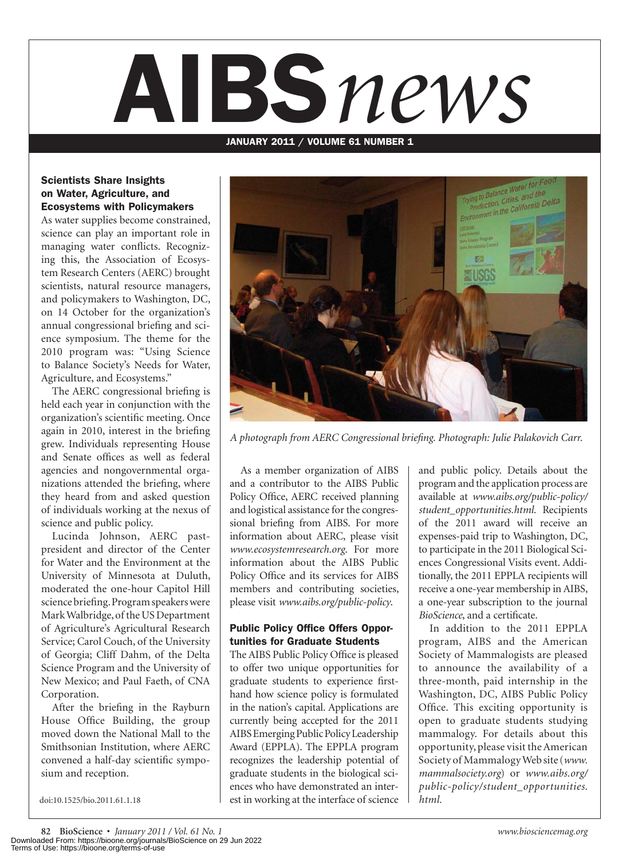# AIBS*news*

#### JANUARY 2011 / VOLUME 61 NUMBER 1

#### Scientists Share Insights on Water, Agriculture, and Ecosystems with Policymakers

As water supplies become constrained, science can play an important role in managing water conflicts. Recognizing this, the Association of Ecosystem Research Centers (AERC) brought scientists, natural resource managers, and policymakers to Washington, DC, on 14 October for the organization's annual congressional briefing and science symposium. The theme for the 2010 program was: "Using Science to Balance Society's Needs for Water, Agriculture, and Ecosystems."

The AERC congressional briefing is held each year in conjunction with the organization's scientific meeting. Once again in 2010, interest in the briefing grew. Individuals representing House and Senate offices as well as federal agencies and nongovernmental organizations attended the briefing, where they heard from and asked question of individuals working at the nexus of science and public policy.

Lucinda Johnson, AERC pastpresident and director of the Center for Water and the Environment at the University of Minnesota at Duluth, moderated the one-hour Capitol Hill science briefing. Program speakers were Mark Walbridge, of the US Department of Agriculture's Agricultural Research Service; Carol Couch, of the University of Georgia; Cliff Dahm, of the Delta Science Program and the University of New Mexico; and Paul Faeth, of CNA Corporation.

After the briefing in the Rayburn House Office Building, the group moved down the National Mall to the Smithsonian Institution, where AERC convened a half-day scientific symposium and reception.

doi:10.1525/bio.2011.61.1.18



*A photograph from AERC Congressional briefing. Photograph: Julie Palakovich Carr.*

As a member organization of AIBS and a contributor to the AIBS Public Policy Office, AERC received planning and logistical assistance for the congressional briefing from AIBS. For more information about AERC, please visit *www.ecosystemresearch.org*. For more information about the AIBS Public Policy Office and its services for AIBS members and contributing societies, please visit *www.aibs.org/public-policy*.

#### Public Policy Office Offers Opportunities for Graduate Students

The AIBS Public Policy Office is pleased to offer two unique opportunities for graduate students to experience firsthand how science policy is formulated in the nation's capital. Applications are currently being accepted for the 2011 AIBS Emerging Public Policy Leadership Award (EPPLA). The EPPLA program recognizes the leadership potential of graduate students in the biological sciences who have demonstrated an interest in working at the interface of science

and public policy. Details about the program and the application process are available at *www.aibs.org/public-policy/ student\_opportunities.html.* Recipients of the 2011 award will receive an expenses-paid trip to Washington, DC, to participate in the 2011 Biological Sciences Congressional Visits event. Additionally, the 2011 EPPLA recipients will receive a one-year membership in AIBS, a one-year subscription to the journal *BioScience*, and a certificate.

In addition to the 2011 EPPLA program, AIBS and the American Society of Mammalogists are pleased to announce the availability of a three-month, paid internship in the Washington, DC, AIBS Public Policy Office. This exciting opportunity is open to graduate students studying mammalogy. For details about this opportunity, please visit the American Society of Mammalogy Web site (*www. mammalsociety.org*) or *www.aibs.org/ public-policy/student\_opportunities. html.*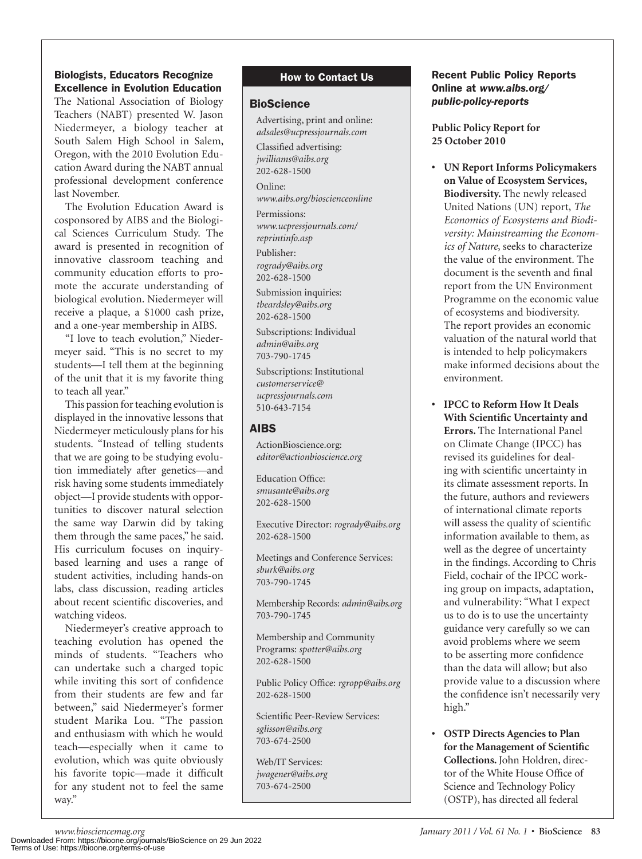### Biologists, Educators Recognize Excellence in Evolution Education

The National Association of Biology Teachers (NABT) presented W. Jason Niedermeyer, a biology teacher at South Salem High School in Salem, Oregon, with the 2010 Evolution Education Award during the NABT annual professional development conference last November.

The Evolution Education Award is cosponsored by AIBS and the Biological Sciences Curriculum Study. The award is presented in recognition of innovative classroom teaching and community education efforts to promote the accurate understanding of biological evolution. Niedermeyer will receive a plaque, a \$1000 cash prize, and a one-year membership in AIBS.

"I love to teach evolution," Niedermeyer said. "This is no secret to my students—I tell them at the beginning of the unit that it is my favorite thing to teach all year."

This passion for teaching evolution is displayed in the innovative lessons that Niedermeyer meticulously plans for his students. "Instead of telling students that we are going to be studying evolution immediately after genetics—and risk having some students immediately object—I provide students with opportunities to discover natural selection the same way Darwin did by taking them through the same paces," he said. His curriculum focuses on inquirybased learning and uses a range of student activities, including hands-on labs, class discussion, reading articles about recent scientific discoveries, and watching videos.

Niedermeyer's creative approach to teaching evolution has opened the minds of students. "Teachers who can undertake such a charged topic while inviting this sort of confidence from their students are few and far between," said Niedermeyer's former student Marika Lou. "The passion and enthusiasm with which he would teach—especially when it came to evolution, which was quite obviously his favorite topic—made it difficult for any student not to feel the same way."

# How to Contact Us

### **BioScience**

Advertising, print and online: *adsales@ucpressjournals.com*

Classified advertising: *jwilliams@aibs.org* 202-628-1500

Online: *www.aibs.org/bioscienceonline*

Permissions: *www.ucpressjournals.com/ reprintinfo.asp*

Publisher: *rogrady@aibs.org* 202-628-1500

Submission inquiries: *tbeardsley@aibs.org* 202-628-1500

Subscriptions: Individual *admin@aibs.org* 703-790-1745

Subscriptions: Institutional *customerservice@ ucpressjournals.com* 510-643-7154

# AIBS

ActionBioscience.org: *editor@actionbioscience.org*

Education Office: *smusante@aibs.org* 202-628-1500

Executive Director: *rogrady@aibs.org* 202-628-1500

Meetings and Conference Services: *sburk@aibs.org* 703-790-1745

Membership Records: *admin@aibs.org* 703-790-1745

Membership and Community Programs: *spotter@aibs.org* 202-628-1500

Public Policy Office: *rgropp@aibs.org* 202-628-1500

Scientific Peer-Review Services: *sglisson@aibs.org* 703-674-2500

Web/IT Services: *jwagener@aibs.org* 703-674-2500

# Recent Public Policy Reports Online at *www.aibs.org/ public-policy-reports*

**Public Policy Report for 25 October 2010**

**s UN Report Informs Policymakers on Value of Ecosystem Services, Biodiversity.** The newly released United Nations (UN) report, *The Economics of Ecosystems and Biodiversity: Mainstreaming the Economics of Nature*, seeks to characterize the value of the environment. The document is the seventh and final report from the UN Environment Programme on the economic value of ecosystems and biodiversity. The report provides an economic valuation of the natural world that is intended to help policymakers make informed decisions about the environment.

**s IPCC to Reform How It Deals With Scientific Uncertainty and Errors.** The International Panel on Climate Change (IPCC) has revised its guidelines for dealing with scientific uncertainty in its climate assessment reports. In the future, authors and reviewers of international climate reports will assess the quality of scientific information available to them, as well as the degree of uncertainty in the findings. According to Chris Field, cochair of the IPCC working group on impacts, adaptation, and vulnerability: "What I expect us to do is to use the uncertainty guidance very carefully so we can avoid problems where we seem to be asserting more confidence than the data will allow; but also provide value to a discussion where the confidence isn't necessarily very high."

**s OSTP Directs Agencies to Plan for the Management of Scientific Collections.** John Holdren, director of the White House Office of Science and Technology Policy (OSTP), has directed all federal